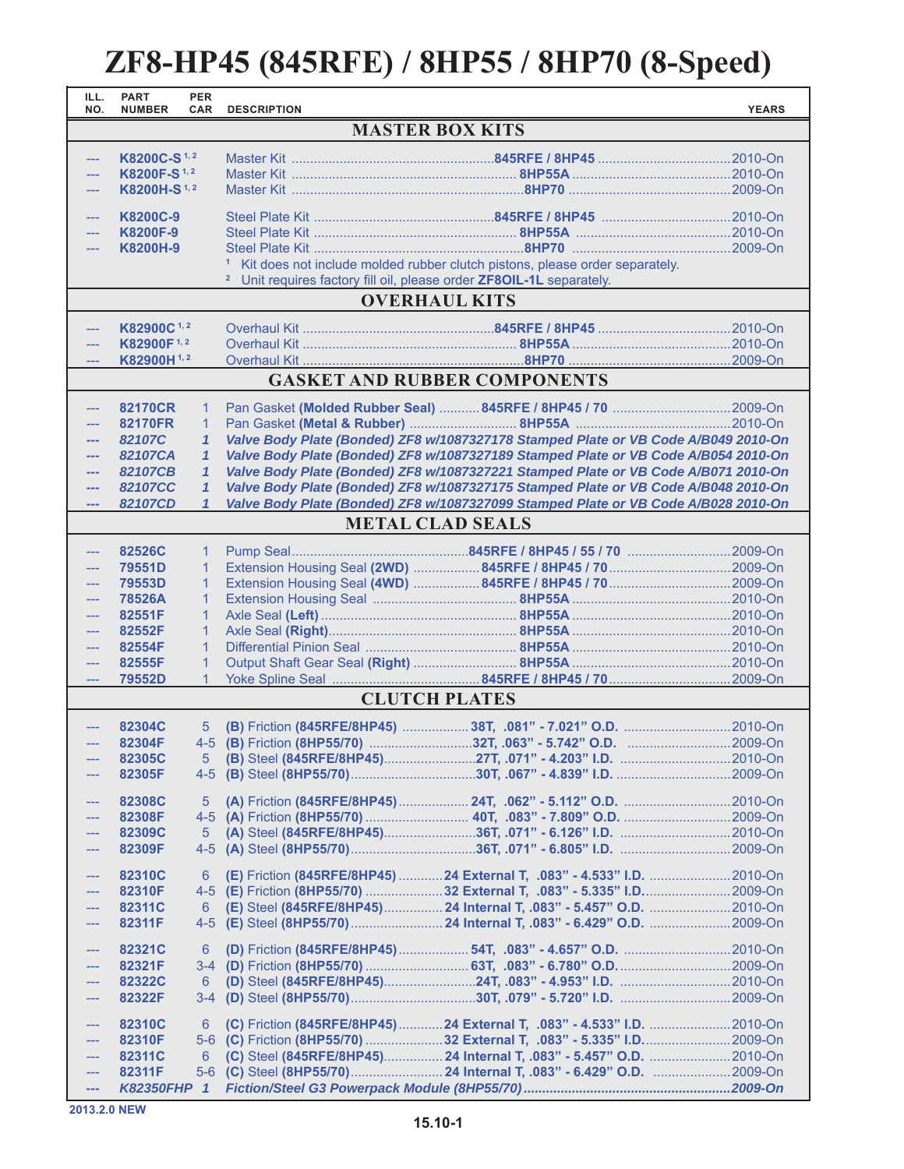## **ZF8-HP45 (845RFE) / 8HP55 / 8HP70 (8-Speed)**

| ILL.<br>NO.                                                                            | <b>PART</b><br><b>NUMBER</b> | <b>PER</b><br><b>CAR</b>     | <b>DESCRIPTION</b> |                                                                                                                                                                          | <b>YEARS</b> |  |  |  |  |
|----------------------------------------------------------------------------------------|------------------------------|------------------------------|--------------------|--------------------------------------------------------------------------------------------------------------------------------------------------------------------------|--------------|--|--|--|--|
| <b>MASTER BOX KITS</b>                                                                 |                              |                              |                    |                                                                                                                                                                          |              |  |  |  |  |
| $\overline{a}$                                                                         | K8200C-S <sup>1,2</sup>      |                              |                    |                                                                                                                                                                          |              |  |  |  |  |
| ---                                                                                    | K8200F-S <sup>1,2</sup>      |                              |                    |                                                                                                                                                                          |              |  |  |  |  |
| $\overline{a}$                                                                         | K8200H-S <sup>1,2</sup>      |                              |                    |                                                                                                                                                                          |              |  |  |  |  |
| $\overline{a}$                                                                         | K8200C-9                     |                              |                    |                                                                                                                                                                          |              |  |  |  |  |
| ---                                                                                    | K8200F-9                     |                              |                    |                                                                                                                                                                          |              |  |  |  |  |
| $\overline{a}$                                                                         | K8200H-9                     |                              |                    |                                                                                                                                                                          |              |  |  |  |  |
|                                                                                        |                              |                              |                    | <sup>1</sup> Kit does not include molded rubber clutch pistons, please order separately.                                                                                 |              |  |  |  |  |
| <sup>2</sup> Unit requires factory fill oil, please order <b>ZF8OIL-1L</b> separately. |                              |                              |                    |                                                                                                                                                                          |              |  |  |  |  |
| <b>OVERHAUL KITS</b>                                                                   |                              |                              |                    |                                                                                                                                                                          |              |  |  |  |  |
| ---                                                                                    | K82900C <sup>1,2</sup>       |                              |                    |                                                                                                                                                                          |              |  |  |  |  |
| ---                                                                                    | K82900F <sup>1,2</sup>       |                              |                    |                                                                                                                                                                          |              |  |  |  |  |
|                                                                                        | K82900H <sup>1,2</sup>       |                              |                    |                                                                                                                                                                          |              |  |  |  |  |
| <b>GASKET AND RUBBER COMPONENTS</b>                                                    |                              |                              |                    |                                                                                                                                                                          |              |  |  |  |  |
| $---$                                                                                  | 82170CR                      | 1                            |                    |                                                                                                                                                                          |              |  |  |  |  |
| <u></u>                                                                                | 82170FR                      | 1                            |                    |                                                                                                                                                                          |              |  |  |  |  |
| ---<br>---                                                                             | 82107C<br>82107CA            | $\mathbf{1}$<br>$\mathbf{1}$ |                    | Valve Body Plate (Bonded) ZF8 w/1087327178 Stamped Plate or VB Code A/B049 2010-On<br>Valve Body Plate (Bonded) ZF8 w/1087327189 Stamped Plate or VB Code A/B054 2010-On |              |  |  |  |  |
| ---                                                                                    | 82107CB                      | $\mathbf{1}$                 |                    | Valve Body Plate (Bonded) ZF8 w/1087327221 Stamped Plate or VB Code A/B071 2010-On                                                                                       |              |  |  |  |  |
| ---                                                                                    | 82107CC                      | $\mathbf{1}$                 |                    | Valve Body Plate (Bonded) ZF8 w/1087327175 Stamped Plate or VB Code A/B048 2010-On                                                                                       |              |  |  |  |  |
| ---                                                                                    | 82107CD                      | $\mathbf{1}$                 |                    | Valve Body Plate (Bonded) ZF8 w/1087327099 Stamped Plate or VB Code A/B028 2010-On                                                                                       |              |  |  |  |  |
|                                                                                        |                              |                              |                    | <b>METAL CLAD SEALS</b>                                                                                                                                                  |              |  |  |  |  |
| ---                                                                                    | 82526C                       | $\mathbf{1}$                 |                    |                                                                                                                                                                          |              |  |  |  |  |
| $---$                                                                                  | 79551D                       | 1                            |                    |                                                                                                                                                                          |              |  |  |  |  |
| ---                                                                                    | 79553D                       | 1                            |                    |                                                                                                                                                                          |              |  |  |  |  |
| $\overline{a}$                                                                         | 78526A                       | $\mathbf{1}$                 |                    |                                                                                                                                                                          |              |  |  |  |  |
| $\overline{a}$                                                                         | 82551F                       | $\mathbf{1}$                 |                    |                                                                                                                                                                          |              |  |  |  |  |
| $\overline{a}$<br>$\overline{a}$                                                       | 82552F<br>82554F             | $\mathbf{1}$<br>$\mathbf{1}$ |                    |                                                                                                                                                                          |              |  |  |  |  |
| $\overline{a}$                                                                         | 82555F                       | $\mathbf 1$                  |                    |                                                                                                                                                                          |              |  |  |  |  |
| $\frac{1}{2}$                                                                          | 79552D                       | 1                            |                    |                                                                                                                                                                          |              |  |  |  |  |
|                                                                                        |                              |                              |                    | <b>CLUTCH PLATES</b>                                                                                                                                                     |              |  |  |  |  |
| ---                                                                                    | 82304C                       | 5                            |                    |                                                                                                                                                                          |              |  |  |  |  |
| $---$                                                                                  | 82304F                       |                              |                    |                                                                                                                                                                          |              |  |  |  |  |
| $\cdots$                                                                               | 82305C                       |                              |                    |                                                                                                                                                                          |              |  |  |  |  |
|                                                                                        | 82305F                       |                              |                    |                                                                                                                                                                          |              |  |  |  |  |
|                                                                                        | 82308C                       | 5                            |                    |                                                                                                                                                                          |              |  |  |  |  |
| ---                                                                                    | 82308F                       |                              |                    |                                                                                                                                                                          |              |  |  |  |  |
| $\cdots$                                                                               | 82309C                       | $5^{\circ}$                  |                    |                                                                                                                                                                          |              |  |  |  |  |
| ---                                                                                    | 82309F                       |                              |                    |                                                                                                                                                                          |              |  |  |  |  |
| ---                                                                                    | 82310C                       | 6                            |                    | (E) Friction (845RFE/8HP45) 24 External T, .083" - 4.533" I.D. 2010-On                                                                                                   |              |  |  |  |  |
| ---                                                                                    | 82310F                       |                              |                    | 4-5 (E) Friction (8HP55/70) 32 External T, .083" - 5.335" I.D2009-On                                                                                                     |              |  |  |  |  |
| ---                                                                                    | 82311C                       | 6                            |                    | (E) Steel (845RFE/8HP45) 24 Internal T, .083" - 5.457" O.D.  2010-On                                                                                                     |              |  |  |  |  |
| $---$                                                                                  | 82311F                       |                              |                    |                                                                                                                                                                          |              |  |  |  |  |
| $\overline{\phantom{a}}$                                                               | 82321C                       | 6                            |                    |                                                                                                                                                                          |              |  |  |  |  |
| ---                                                                                    | 82321F                       |                              |                    |                                                                                                                                                                          |              |  |  |  |  |
| $---$                                                                                  | 82322C<br>82322F             | 6                            |                    |                                                                                                                                                                          |              |  |  |  |  |
| ---                                                                                    |                              |                              |                    |                                                                                                                                                                          |              |  |  |  |  |
| $\qquad \qquad -$                                                                      | 82310C                       | 6                            |                    | (C) Friction (845RFE/8HP45) 24 External T, .083" - 4.533" I.D. 2010-On                                                                                                   |              |  |  |  |  |
| ---                                                                                    | 82310F                       |                              |                    | 5-6 (C) Friction (8HP55/70) 32 External T, .083" - 5.335" I.D2009-On                                                                                                     |              |  |  |  |  |
| ---<br>$\cdots$                                                                        | 82311C<br>82311F             | 6                            |                    | (C) Steel (845RFE/8HP45) 24 Internal T, .083" - 5.457" O.D. 2010-On<br>5-6 (C) Steel (8HP55/70) 24 Internal T, .083" - 6.429" O.D. 2009-On                               |              |  |  |  |  |
| ---                                                                                    | <b>K82350FHP</b>             | $\overline{1}$               |                    |                                                                                                                                                                          |              |  |  |  |  |